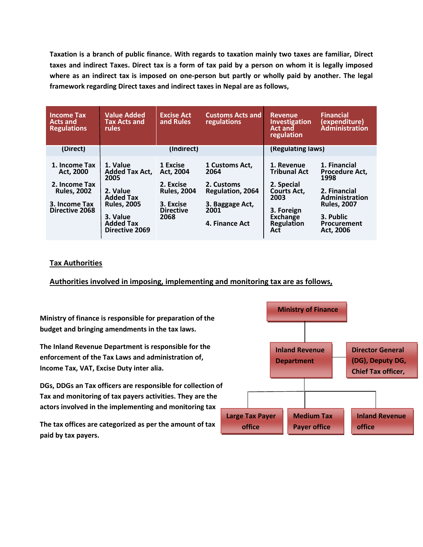**Taxation is a branch of public finance. With regards to taxation mainly two taxes are familiar, Direct taxes and indirect Taxes. Direct tax is a form of tax paid by a person on whom it is legally imposed where as an indirect tax is imposed on one-person but partly or wholly paid by another. The legal framework regarding Direct taxes and indirect taxes in Nepal are as follows,**

| <b>Income Tax</b><br><b>Acts and</b><br><b>Regulations</b>                                                  | <b>Value Added</b><br><b>Tax Acts and</b><br><b>rules</b>                                                                                                | <b>Excise Act</b><br>and Rules                                                                    | <b>Customs Acts and</b><br>regulations                                                                       | <b>Revenue</b><br><b>Investigation</b><br><b>Act and</b><br>regulation                                                              | <b>Financial</b><br>(expenditure)<br>Administration                                                                                                   |
|-------------------------------------------------------------------------------------------------------------|----------------------------------------------------------------------------------------------------------------------------------------------------------|---------------------------------------------------------------------------------------------------|--------------------------------------------------------------------------------------------------------------|-------------------------------------------------------------------------------------------------------------------------------------|-------------------------------------------------------------------------------------------------------------------------------------------------------|
| (Direct)                                                                                                    | (Indirect)                                                                                                                                               |                                                                                                   |                                                                                                              | (Regulating laws)                                                                                                                   |                                                                                                                                                       |
| 1. Income Tax<br>Act. 2000<br>2. Income Tax<br><b>Rules, 2002</b><br>3. Income Tax<br><b>Directive 2068</b> | 1. Value<br><b>Added Tax Act,</b><br>2005<br>2. Value<br><b>Added Tax</b><br><b>Rules, 2005</b><br>3. Value<br><b>Added Tax</b><br><b>Directive 2069</b> | 1 Excise<br>Act. 2004<br>2. Excise<br><b>Rules, 2004</b><br>3. Excise<br><b>Directive</b><br>2068 | 1 Customs Act,<br>2064<br>2. Customs<br><b>Regulation, 2064</b><br>3. Baggage Act,<br>2001<br>4. Finance Act | 1. Revenue<br><b>Tribunal Act</b><br>2. Special<br><b>Courts Act,</b><br>2003<br>3. Foreign<br>Exchange<br><b>Regulation</b><br>Act | 1. Financial<br><b>Procedure Act,</b><br>1998<br>2. Financial<br><b>Administration</b><br><b>Rules, 2007</b><br>3. Public<br>Procurement<br>Act. 2006 |

## **Tax Authorities**

**Authorities involved in imposing, implementing and monitoring tax are as follows,**

**Ministry of finance is responsible for preparation of the budget and bringing amendments in the tax laws.**

**The Inland Revenue Department is responsible for the enforcement of the Tax Laws and administration of, Income Tax, VAT, Excise Duty inter alia.** 

**DGs, DDGs an Tax officers are responsible for collection of Tax and monitoring of tax payers activities. They are the actors involved in the implementing and monitoring tax**

**The tax offices are categorized as per the amount of tax paid by tax payers.** 

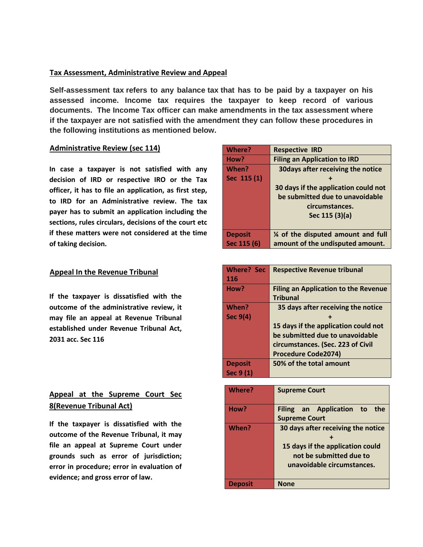#### **Tax Assessment, Administrative Review and Appeal**

**Self-assessment tax refers to any balance tax that has to be paid by a taxpayer on his assessed income. Income tax requires the taxpayer to keep record of various documents. The Income Tax officer can make amendments in the tax assessment where if the taxpayer are not satisfied with the amendment they can follow these procedures in the following institutions as mentioned below.**

### **Administrative Review (sec 114)**

**Appeal to Revenue Tribunal if these matters were not considered at the time In case a taxpayer is not satisfied with any decision of IRD or respective IRO or the Tax officer, it has to file an application, as first step, to IRD for an Administrative review. The tax payer has to submit an application including the sections, rules circulars, decisions of the court etc of taking decision.**

#### **Appeal In the Revenue Tribunal**

**If the taxpayer is dissatisfied with the outcome of the administrative review, it may file an appeal at Revenue Tribunal established under Revenue Tribunal Act, 2031 acc. Sec 116**

# **Appeal at the Supreme Court Sec 8(Revenue Tribunal Act)**

**If the taxpayer is dissatisfied with the outcome of the Revenue Tribunal, it may file an appeal at Supreme Court under grounds such as error of jurisdiction; error in procedure; error in evaluation of evidence; and gross error of law.**

| Where?         | <b>Respective IRD</b>                |
|----------------|--------------------------------------|
| How?           | <b>Filing an Application to IRD</b>  |
| When?          | 30 days after receiving the notice   |
| Sec 115 (1)    |                                      |
|                | 30 days if the application could not |
|                | be submitted due to unavoidable      |
|                | circumstances.                       |
|                | Sec 115 (3)(a)                       |
|                |                                      |
| <b>Deposit</b> | % of the disputed amount and full    |
| Sec 115 (6)    | amount of the undisputed amount.     |

| <b>Where? Sec</b> | <b>Respective Revenue tribunal</b>          |
|-------------------|---------------------------------------------|
| 116               |                                             |
| How?              | <b>Filing an Application to the Revenue</b> |
|                   | <b>Tribunal</b>                             |
| When?             | 35 days after receiving the notice          |
| Sec 9(4)          |                                             |
|                   | 15 days if the application could not        |
|                   | be submitted due to unavoidable             |
|                   | circumstances. (Sec. 223 of Civil           |
|                   | <b>Procedure Code2074)</b>                  |
| <b>Deposit</b>    | 50% of the total amount                     |
| Sec 9 (1)         |                                             |

| Where?         | <b>Supreme Court</b>                                                                                                            |
|----------------|---------------------------------------------------------------------------------------------------------------------------------|
| How?           | Filing an Application to the<br><b>Supreme Court</b>                                                                            |
| When?          | 30 days after receiving the notice<br>15 days if the application could<br>not be submitted due to<br>unavoidable circumstances. |
| <b>Deposit</b> | <b>None</b>                                                                                                                     |